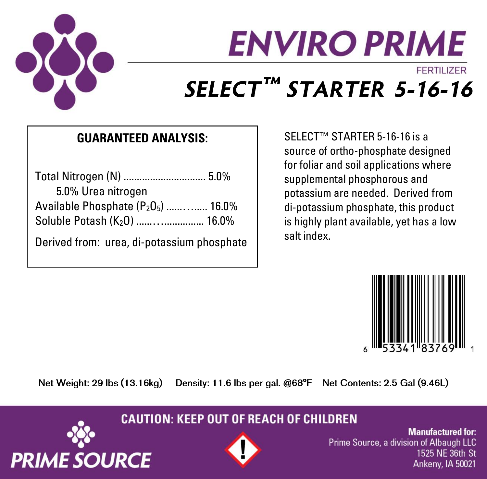

# **ENVIRO PRIME** FFRTILIZER SELECT™ STARTER 5-16-16

### **GUARANTEED ANALYSIS:**

| 5.0% Urea nitrogen                         |  |
|--------------------------------------------|--|
| Available Phosphate $(P_2O_5)$ 16.0%       |  |
| Soluble Potash (K <sub>2</sub> O)  16.0%   |  |
| Derived from: urea, di-potassium phosphate |  |

SELECT<sup>™</sup> STARTER 5-16-16 is a source of ortho-phosphate designed for foliar and soil applications where supplemental phosphorous and potassium are needed. Derived from di-potassium phosphate, this product is highly plant available, yet has a low salt index.



Net Weight: 29 lbs (13.16kg)

**PRIME SOURCE** 

Density: 11.6 lbs per gal. @68°F Net Contents: 2.5 Gal (9.46L)

**CAUTION: KEEP OUT OF REACH OF CHILDREN** 



**Manufactured for:** Prime Source, a division of Albaugh LLC 1525 NE 36th St Ankeny, IA 50021